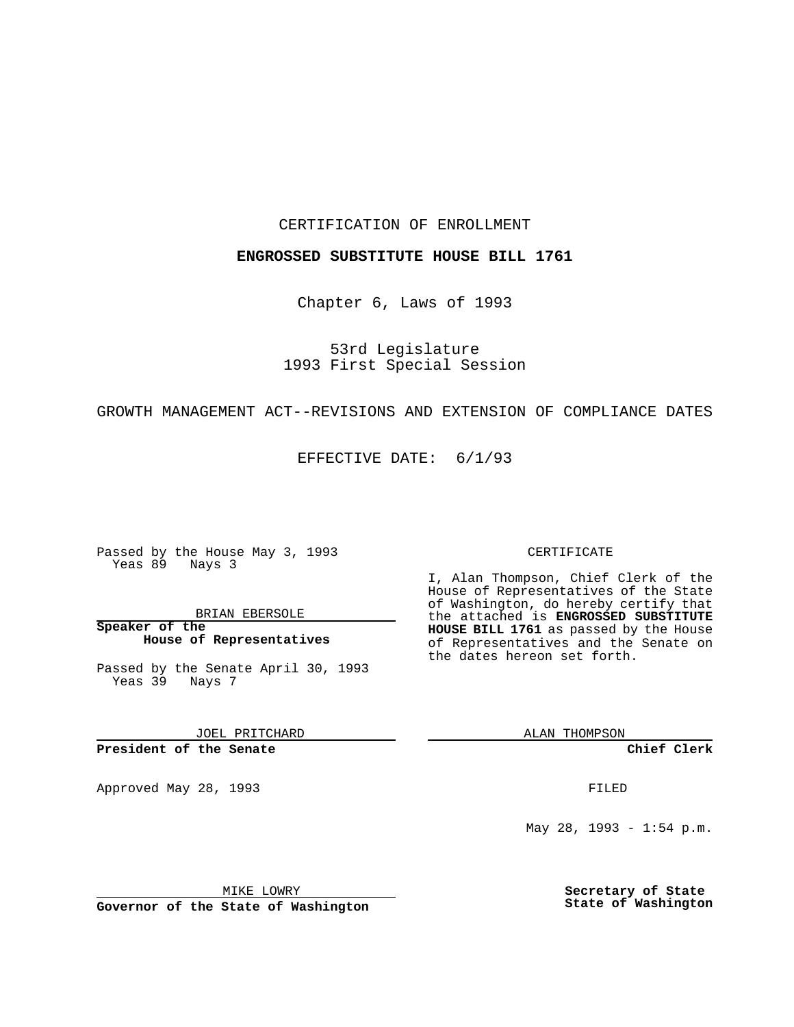## CERTIFICATION OF ENROLLMENT

### **ENGROSSED SUBSTITUTE HOUSE BILL 1761**

Chapter 6, Laws of 1993

53rd Legislature 1993 First Special Session

## GROWTH MANAGEMENT ACT--REVISIONS AND EXTENSION OF COMPLIANCE DATES

EFFECTIVE DATE: 6/1/93

Passed by the House May 3, 1993 Yeas 89 Nays 3

BRIAN EBERSOLE

**Speaker of the House of Representatives**

Passed by the Senate April 30, 1993 Yeas 39 Nays 7

JOEL PRITCHARD

# **President of the Senate**

Approved May 28, 1993 **FILED** 

#### CERTIFICATE

I, Alan Thompson, Chief Clerk of the House of Representatives of the State of Washington, do hereby certify that the attached is **ENGROSSED SUBSTITUTE HOUSE BILL 1761** as passed by the House of Representatives and the Senate on the dates hereon set forth.

ALAN THOMPSON

**Chief Clerk**

May 28, 1993 - 1:54 p.m.

MIKE LOWRY

**Governor of the State of Washington**

**Secretary of State State of Washington**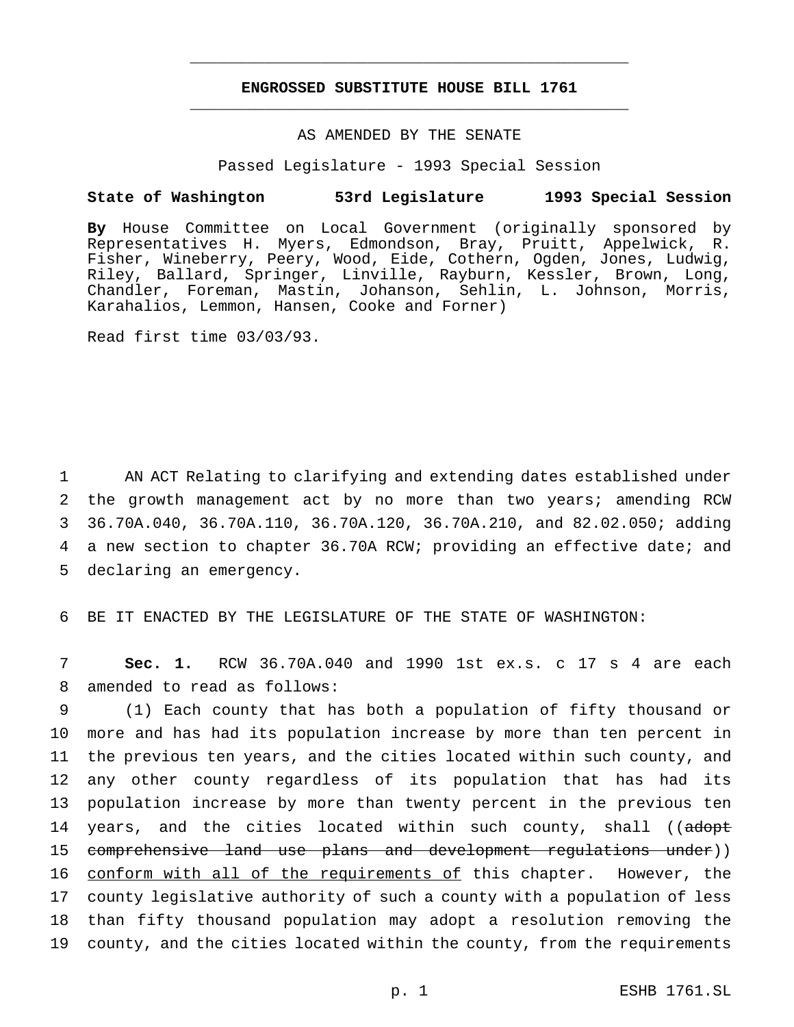# **ENGROSSED SUBSTITUTE HOUSE BILL 1761** \_\_\_\_\_\_\_\_\_\_\_\_\_\_\_\_\_\_\_\_\_\_\_\_\_\_\_\_\_\_\_\_\_\_\_\_\_\_\_\_\_\_\_\_\_\_\_

\_\_\_\_\_\_\_\_\_\_\_\_\_\_\_\_\_\_\_\_\_\_\_\_\_\_\_\_\_\_\_\_\_\_\_\_\_\_\_\_\_\_\_\_\_\_\_

## AS AMENDED BY THE SENATE

Passed Legislature - 1993 Special Session

#### **State of Washington 53rd Legislature 1993 Special Session**

**By** House Committee on Local Government (originally sponsored by Representatives H. Myers, Edmondson, Bray, Pruitt, Appelwick, R. Fisher, Wineberry, Peery, Wood, Eide, Cothern, Ogden, Jones, Ludwig, Riley, Ballard, Springer, Linville, Rayburn, Kessler, Brown, Long, Chandler, Foreman, Mastin, Johanson, Sehlin, L. Johnson, Morris, Karahalios, Lemmon, Hansen, Cooke and Forner)

Read first time 03/03/93.

 AN ACT Relating to clarifying and extending dates established under the growth management act by no more than two years; amending RCW 36.70A.040, 36.70A.110, 36.70A.120, 36.70A.210, and 82.02.050; adding a new section to chapter 36.70A RCW; providing an effective date; and declaring an emergency.

6 BE IT ENACTED BY THE LEGISLATURE OF THE STATE OF WASHINGTON:

7 **Sec. 1.** RCW 36.70A.040 and 1990 1st ex.s. c 17 s 4 are each 8 amended to read as follows:

 (1) Each county that has both a population of fifty thousand or more and has had its population increase by more than ten percent in the previous ten years, and the cities located within such county, and any other county regardless of its population that has had its population increase by more than twenty percent in the previous ten 14 years, and the cities located within such county, shall ((adopt 15 comprehensive land use plans and development regulations under)) 16 conform with all of the requirements of this chapter. However, the county legislative authority of such a county with a population of less than fifty thousand population may adopt a resolution removing the county, and the cities located within the county, from the requirements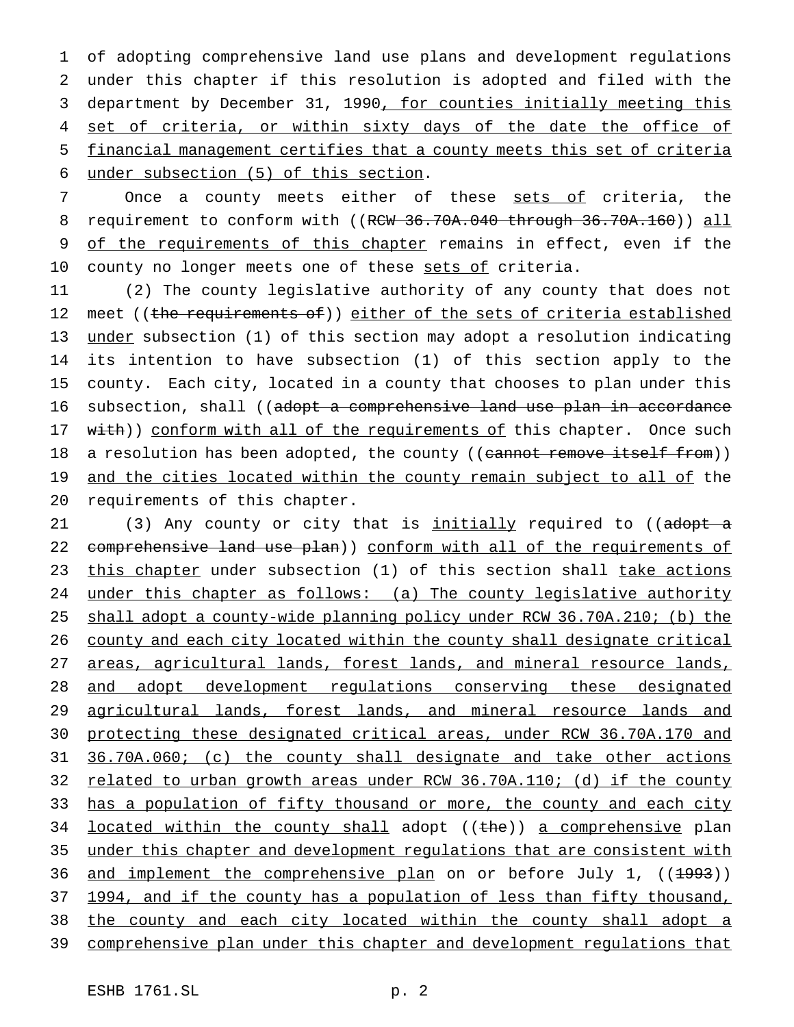of adopting comprehensive land use plans and development regulations under this chapter if this resolution is adopted and filed with the department by December 31, 1990, for counties initially meeting this 4 set of criteria, or within sixty days of the date the office of financial management certifies that a county meets this set of criteria under subsection (5) of this section.

7 Once a county meets either of these sets of criteria, the 8 requirement to conform with ((RCW 36.70A.040 through 36.70A.160)) all 9 of the requirements of this chapter remains in effect, even if the 10 county no longer meets one of these sets of criteria.

11 (2) The county legislative authority of any county that does not 12 meet ((the requirements of)) either of the sets of criteria established 13 under subsection (1) of this section may adopt a resolution indicating 14 its intention to have subsection (1) of this section apply to the 15 county. Each city, located in a county that chooses to plan under this 16 subsection, shall ((adopt a comprehensive land use plan in accordance 17 with)) conform with all of the requirements of this chapter. Once such 18 a resolution has been adopted, the county ((cannot remove itself from)) 19 and the cities located within the county remain subject to all of the 20 requirements of this chapter.

21 (3) Any county or city that is initially required to ((adopt a 22 comprehensive land use plan)) conform with all of the requirements of 23 this chapter under subsection (1) of this section shall take actions 24 under this chapter as follows: (a) The county legislative authority 25 shall adopt a county-wide planning policy under RCW 36.70A.210; (b) the 26 county and each city located within the county shall designate critical 27 areas, agricultural lands, forest lands, and mineral resource lands, 28 and adopt development regulations conserving these designated 29 agricultural lands, forest lands, and mineral resource lands and 30 protecting these designated critical areas, under RCW 36.70A.170 and 31 36.70A.060; (c) the county shall designate and take other actions 32 related to urban growth areas under RCW 36.70A.110; (d) if the county 33 has a population of fifty thousand or more, the county and each city 34 located within the county shall adopt ((the)) a comprehensive plan 35 under this chapter and development regulations that are consistent with 36 and implement the comprehensive plan on or before July 1, ((1993)) 37 1994, and if the county has a population of less than fifty thousand, 38 the county and each city located within the county shall adopt a 39 comprehensive plan under this chapter and development regulations that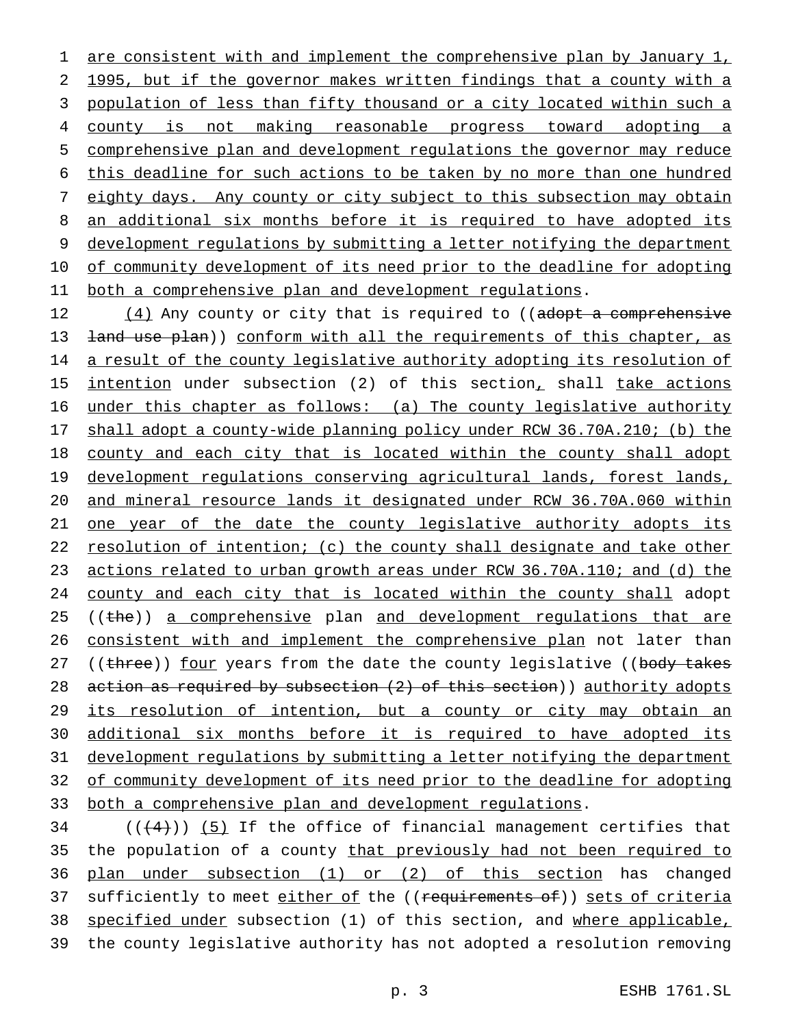1 are consistent with and implement the comprehensive plan by January 1, 1995, but if the governor makes written findings that a county with a population of less than fifty thousand or a city located within such a county is not making reasonable progress toward adopting a comprehensive plan and development regulations the governor may reduce this deadline for such actions to be taken by no more than one hundred 7 eighty days. Any county or city subject to this subsection may obtain 8 an additional six months before it is required to have adopted its development regulations by submitting a letter notifying the department of community development of its need prior to the deadline for adopting 11 both a comprehensive plan and development regulations.

12 (4) Any county or city that is required to ((adopt a comprehensive 13 <del>land use plan</del>)) conform with all the requirements of this chapter, as 14 a result of the county legislative authority adopting its resolution of 15 intention under subsection (2) of this section, shall take actions 16 under this chapter as follows: (a) The county legislative authority 17 shall adopt a county-wide planning policy under RCW 36.70A.210; (b) the 18 county and each city that is located within the county shall adopt 19 development regulations conserving agricultural lands, forest lands, 20 and mineral resource lands it designated under RCW 36.70A.060 within 21 one year of the date the county legislative authority adopts its 22 resolution of intention; (c) the county shall designate and take other 23 actions related to urban growth areas under RCW 36.70A.110; and (d) the 24 county and each city that is located within the county shall adopt 25 ((the)) a comprehensive plan and development regulations that are 26 consistent with and implement the comprehensive plan not later than 27 ((three)) four years from the date the county legislative ((body takes 28 action as required by subsection (2) of this section)) authority adopts 29 its resolution of intention, but a county or city may obtain an 30 additional six months before it is required to have adopted its 31 development regulations by submitting a letter notifying the department 32 of community development of its need prior to the deadline for adopting 33 both a comprehensive plan and development regulations.

 $((+4))$  (5) If the office of financial management certifies that 35 the population of a county that previously had not been required to plan under subsection (1) or (2) of this section has changed 37 sufficiently to meet either of the ((requirements of)) sets of criteria specified under subsection (1) of this section, and where applicable, the county legislative authority has not adopted a resolution removing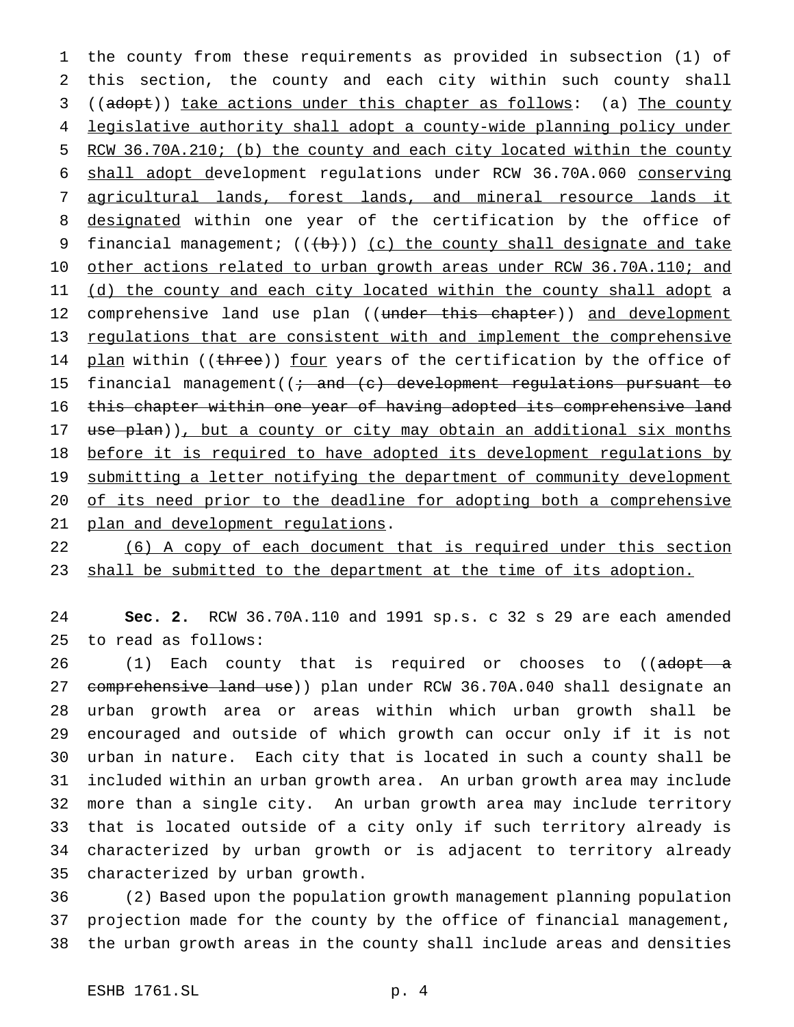the county from these requirements as provided in subsection (1) of this section, the county and each city within such county shall ((adopt)) take actions under this chapter as follows: (a) The county legislative authority shall adopt a county-wide planning policy under RCW 36.70A.210; (b) the county and each city located within the county shall adopt development regulations under RCW 36.70A.060 conserving agricultural lands, forest lands, and mineral resource lands it designated within one year of the certification by the office of 9 financial management;  $((+b))$  (c) the county shall designate and take 10 other actions related to urban growth areas under RCW 36.70A.110; and 11 (d) the county and each city located within the county shall adopt a 12 comprehensive land use plan ((under this chapter)) and development regulations that are consistent with and implement the comprehensive 14 plan within ((three)) four years of the certification by the office of 15 financial management( $\left(i + \text{and } (c)\right)$  development regulations pursuant to this chapter within one year of having adopted its comprehensive land 17 use plan)), but a county or city may obtain an additional six months 18 before it is required to have adopted its development regulations by 19 submitting a letter notifying the department of community development 20 of its need prior to the deadline for adopting both a comprehensive plan and development regulations.

 (6) A copy of each document that is required under this section 23 shall be submitted to the department at the time of its adoption.

 **Sec. 2.** RCW 36.70A.110 and 1991 sp.s. c 32 s 29 are each amended to read as follows:

26 (1) Each county that is required or chooses to ((adopt a 27 comprehensive land use)) plan under RCW 36.70A.040 shall designate an urban growth area or areas within which urban growth shall be encouraged and outside of which growth can occur only if it is not urban in nature. Each city that is located in such a county shall be included within an urban growth area. An urban growth area may include more than a single city. An urban growth area may include territory that is located outside of a city only if such territory already is characterized by urban growth or is adjacent to territory already characterized by urban growth.

 (2) Based upon the population growth management planning population projection made for the county by the office of financial management, the urban growth areas in the county shall include areas and densities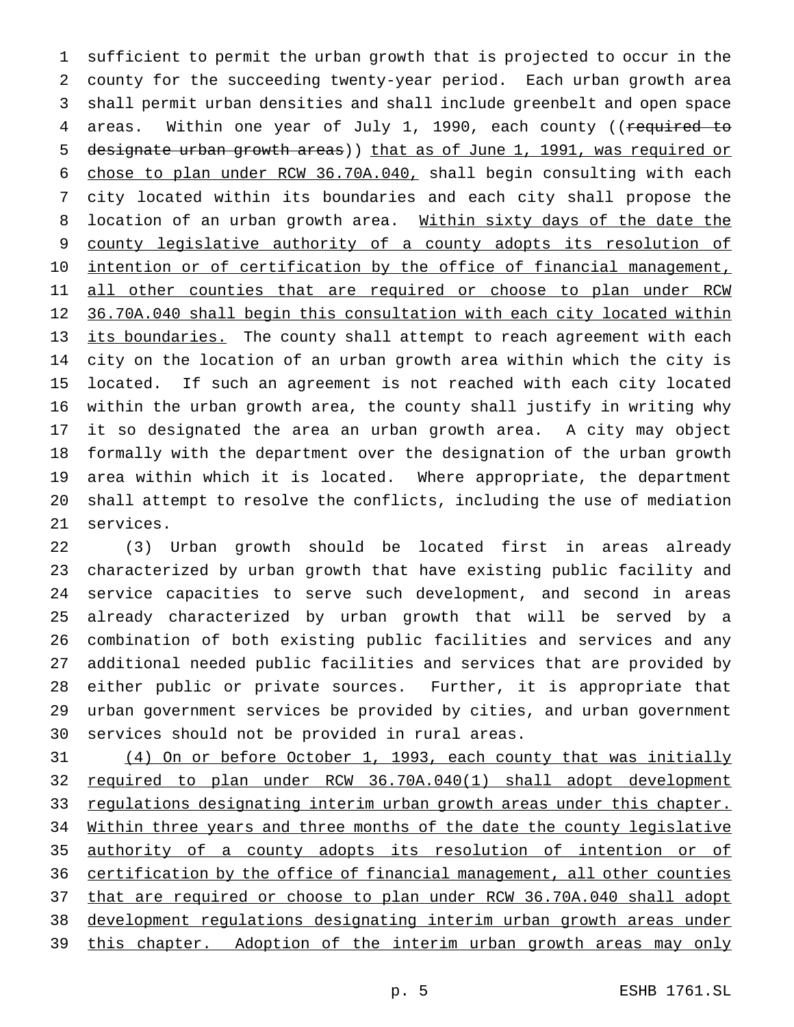sufficient to permit the urban growth that is projected to occur in the county for the succeeding twenty-year period. Each urban growth area shall permit urban densities and shall include greenbelt and open space 4 areas. Within one year of July 1, 1990, each county ((required to designate urban growth areas)) that as of June 1, 1991, was required or chose to plan under RCW 36.70A.040, shall begin consulting with each city located within its boundaries and each city shall propose the 8 location of an urban growth area. Within sixty days of the date the 9 county legislative authority of a county adopts its resolution of 10 intention or of certification by the office of financial management, 11 all other counties that are required or choose to plan under RCW 36.70A.040 shall begin this consultation with each city located within 13 its boundaries. The county shall attempt to reach agreement with each city on the location of an urban growth area within which the city is located. If such an agreement is not reached with each city located within the urban growth area, the county shall justify in writing why it so designated the area an urban growth area. A city may object formally with the department over the designation of the urban growth area within which it is located. Where appropriate, the department shall attempt to resolve the conflicts, including the use of mediation services.

 (3) Urban growth should be located first in areas already characterized by urban growth that have existing public facility and service capacities to serve such development, and second in areas already characterized by urban growth that will be served by a combination of both existing public facilities and services and any additional needed public facilities and services that are provided by either public or private sources. Further, it is appropriate that urban government services be provided by cities, and urban government services should not be provided in rural areas.

 (4) On or before October 1, 1993, each county that was initially required to plan under RCW 36.70A.040(1) shall adopt development 33 regulations designating interim urban growth areas under this chapter. Within three years and three months of the date the county legislative authority of a county adopts its resolution of intention or of certification by the office of financial management, all other counties that are required or choose to plan under RCW 36.70A.040 shall adopt development regulations designating interim urban growth areas under 39 this chapter. Adoption of the interim urban growth areas may only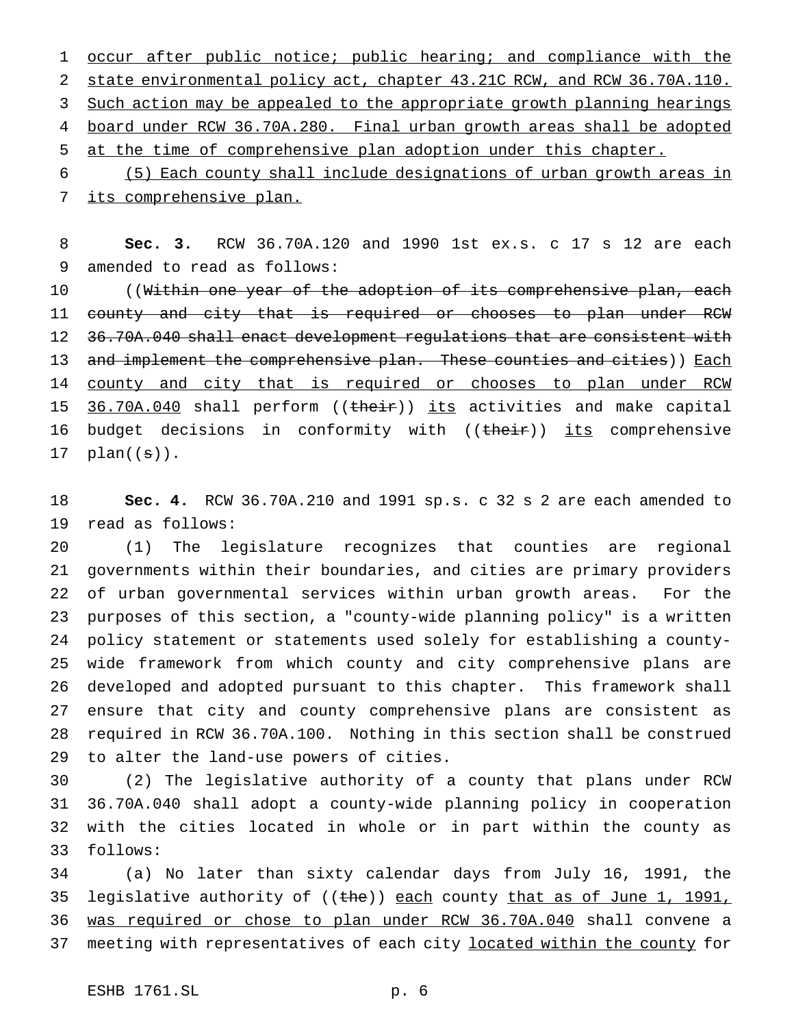1 occur after public notice; public hearing; and compliance with the 2 state environmental policy act, chapter 43.21C RCW, and RCW 36.70A.110. 3 Such action may be appealed to the appropriate growth planning hearings board under RCW 36.70A.280. Final urban growth areas shall be adopted at the time of comprehensive plan adoption under this chapter.

 (5) Each county shall include designations of urban growth areas in its comprehensive plan.

 **Sec. 3.** RCW 36.70A.120 and 1990 1st ex.s. c 17 s 12 are each amended to read as follows:

10 ((<del>Within one year of the adoption of its comprehensive plan, each</del> 11 county and city that is required or chooses to plan under RCW 36.70A.040 shall enact development regulations that are consistent with 13 and implement the comprehensive plan. These counties and cities)) Each 14 county and city that is required or chooses to plan under RCW 15 36.70A.040 shall perform ((their)) its activities and make capital 16 budget decisions in conformity with ((their)) its comprehensive 17  $plan((s))$ .

 **Sec. 4.** RCW 36.70A.210 and 1991 sp.s. c 32 s 2 are each amended to read as follows:

 (1) The legislature recognizes that counties are regional governments within their boundaries, and cities are primary providers of urban governmental services within urban growth areas. For the purposes of this section, a "county-wide planning policy" is a written policy statement or statements used solely for establishing a county- wide framework from which county and city comprehensive plans are developed and adopted pursuant to this chapter. This framework shall ensure that city and county comprehensive plans are consistent as required in RCW 36.70A.100. Nothing in this section shall be construed to alter the land-use powers of cities.

 (2) The legislative authority of a county that plans under RCW 36.70A.040 shall adopt a county-wide planning policy in cooperation with the cities located in whole or in part within the county as follows:

 (a) No later than sixty calendar days from July 16, 1991, the 35 legislative authority of ((the)) each county that as of June 1, 1991, was required or chose to plan under RCW 36.70A.040 shall convene a 37 meeting with representatives of each city located within the county for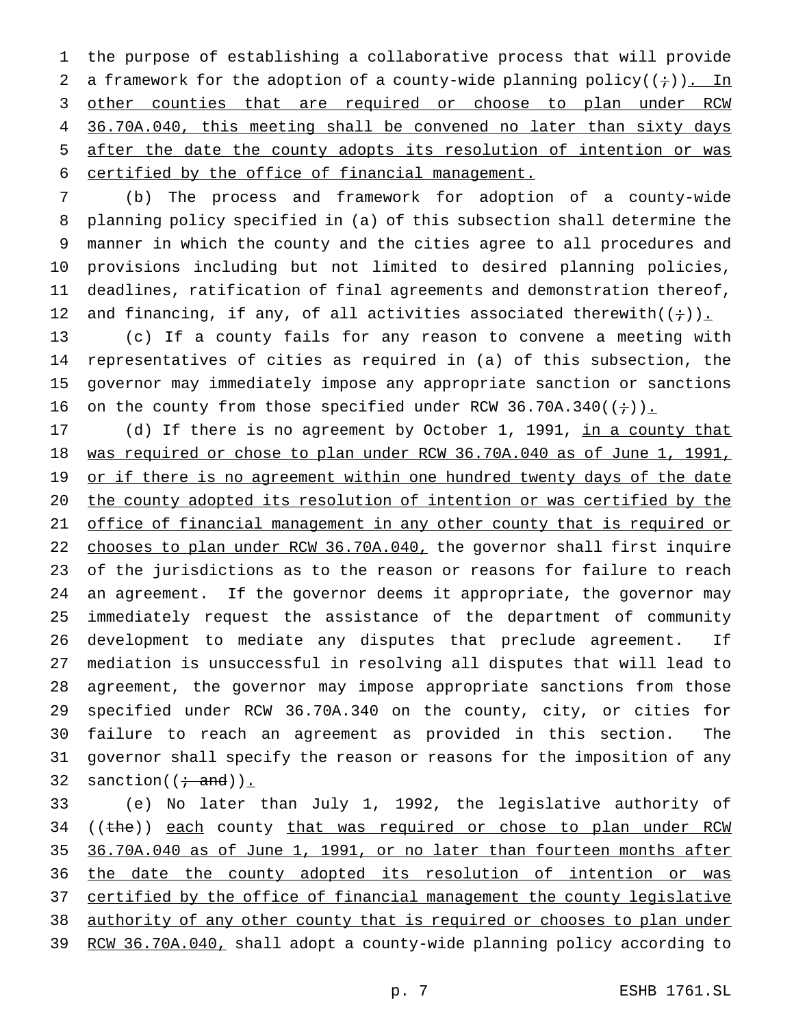the purpose of establishing a collaborative process that will provide 2 a framework for the adoption of a county-wide planning policy( $(+)$ ). In 3 other counties that are required or choose to plan under RCW 36.70A.040, this meeting shall be convened no later than sixty days after the date the county adopts its resolution of intention or was certified by the office of financial management.

 (b) The process and framework for adoption of a county-wide planning policy specified in (a) of this subsection shall determine the manner in which the county and the cities agree to all procedures and provisions including but not limited to desired planning policies, deadlines, ratification of final agreements and demonstration thereof, 12 and financing, if any, of all activities associated therewith( $(+)$ ).

 (c) If a county fails for any reason to convene a meeting with representatives of cities as required in (a) of this subsection, the governor may immediately impose any appropriate sanction or sanctions 16 on the county from those specified under RCW 36.70A.340( $(+)$ ).

17 (d) If there is no agreement by October 1, 1991, in a county that was required or chose to plan under RCW 36.70A.040 as of June 1, 1991, 19 or if there is no agreement within one hundred twenty days of the date the county adopted its resolution of intention or was certified by the office of financial management in any other county that is required or 22 chooses to plan under RCW 36.70A.040, the governor shall first inquire of the jurisdictions as to the reason or reasons for failure to reach an agreement. If the governor deems it appropriate, the governor may immediately request the assistance of the department of community development to mediate any disputes that preclude agreement. If mediation is unsuccessful in resolving all disputes that will lead to agreement, the governor may impose appropriate sanctions from those specified under RCW 36.70A.340 on the county, city, or cities for failure to reach an agreement as provided in this section. The governor shall specify the reason or reasons for the imposition of any 32 sanction( $(\div \text{ and})$ ).

 (e) No later than July 1, 1992, the legislative authority of 34 ((the)) each county that was required or chose to plan under RCW 36.70A.040 as of June 1, 1991, or no later than fourteen months after 36 the date the county adopted its resolution of intention or was 37 certified by the office of financial management the county legislative authority of any other county that is required or chooses to plan under RCW 36.70A.040, shall adopt a county-wide planning policy according to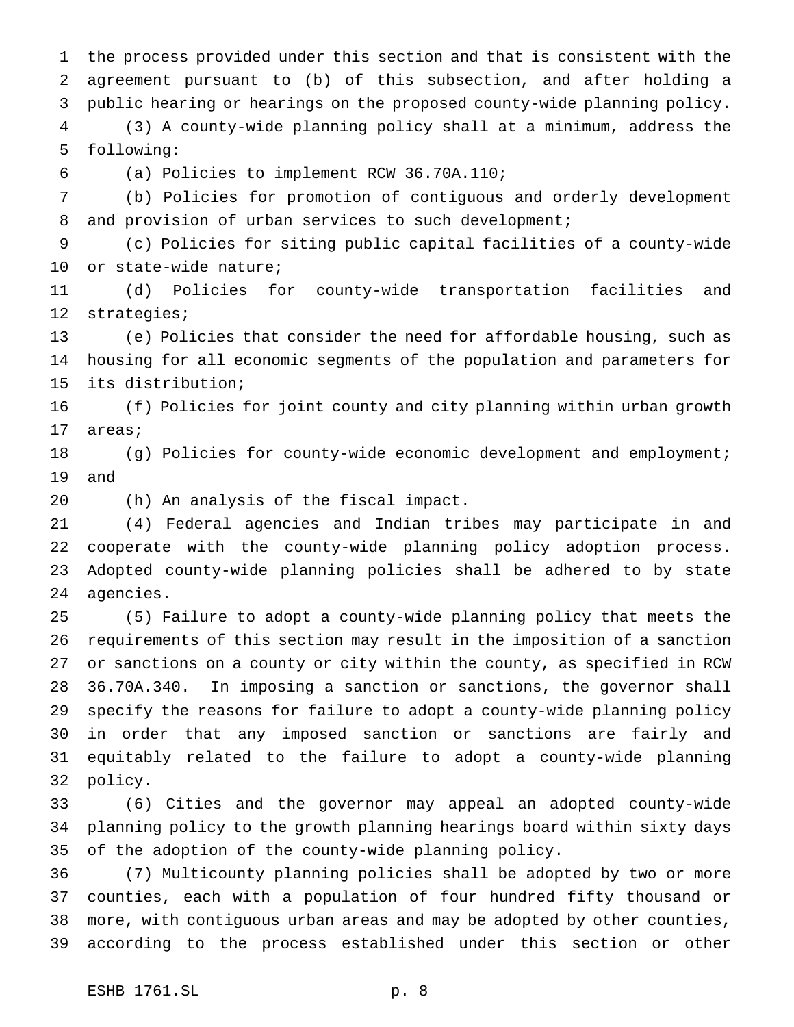the process provided under this section and that is consistent with the agreement pursuant to (b) of this subsection, and after holding a public hearing or hearings on the proposed county-wide planning policy. (3) A county-wide planning policy shall at a minimum, address the

following:

(a) Policies to implement RCW 36.70A.110;

 (b) Policies for promotion of contiguous and orderly development 8 and provision of urban services to such development;

 (c) Policies for siting public capital facilities of a county-wide or state-wide nature;

 (d) Policies for county-wide transportation facilities and strategies;

 (e) Policies that consider the need for affordable housing, such as housing for all economic segments of the population and parameters for its distribution;

 (f) Policies for joint county and city planning within urban growth areas;

 (g) Policies for county-wide economic development and employment; and

(h) An analysis of the fiscal impact.

 (4) Federal agencies and Indian tribes may participate in and cooperate with the county-wide planning policy adoption process. Adopted county-wide planning policies shall be adhered to by state agencies.

 (5) Failure to adopt a county-wide planning policy that meets the requirements of this section may result in the imposition of a sanction or sanctions on a county or city within the county, as specified in RCW 36.70A.340. In imposing a sanction or sanctions, the governor shall specify the reasons for failure to adopt a county-wide planning policy in order that any imposed sanction or sanctions are fairly and equitably related to the failure to adopt a county-wide planning policy.

 (6) Cities and the governor may appeal an adopted county-wide planning policy to the growth planning hearings board within sixty days of the adoption of the county-wide planning policy.

 (7) Multicounty planning policies shall be adopted by two or more counties, each with a population of four hundred fifty thousand or more, with contiguous urban areas and may be adopted by other counties, according to the process established under this section or other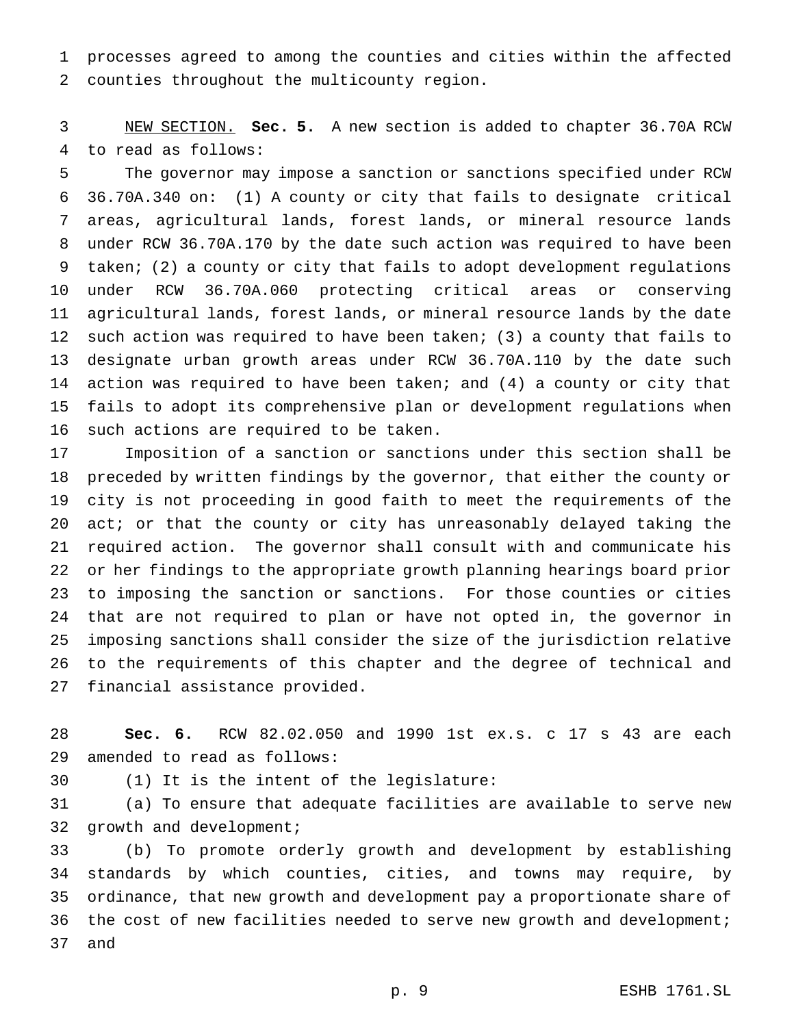processes agreed to among the counties and cities within the affected counties throughout the multicounty region.

 NEW SECTION. **Sec. 5.** A new section is added to chapter 36.70A RCW to read as follows:

 The governor may impose a sanction or sanctions specified under RCW 36.70A.340 on: (1) A county or city that fails to designate critical areas, agricultural lands, forest lands, or mineral resource lands under RCW 36.70A.170 by the date such action was required to have been taken; (2) a county or city that fails to adopt development regulations under RCW 36.70A.060 protecting critical areas or conserving agricultural lands, forest lands, or mineral resource lands by the date such action was required to have been taken; (3) a county that fails to designate urban growth areas under RCW 36.70A.110 by the date such action was required to have been taken; and (4) a county or city that fails to adopt its comprehensive plan or development regulations when such actions are required to be taken.

 Imposition of a sanction or sanctions under this section shall be preceded by written findings by the governor, that either the county or city is not proceeding in good faith to meet the requirements of the act; or that the county or city has unreasonably delayed taking the required action. The governor shall consult with and communicate his or her findings to the appropriate growth planning hearings board prior to imposing the sanction or sanctions. For those counties or cities that are not required to plan or have not opted in, the governor in imposing sanctions shall consider the size of the jurisdiction relative to the requirements of this chapter and the degree of technical and financial assistance provided.

 **Sec. 6.** RCW 82.02.050 and 1990 1st ex.s. c 17 s 43 are each amended to read as follows:

(1) It is the intent of the legislature:

 (a) To ensure that adequate facilities are available to serve new 32 growth and development;

 (b) To promote orderly growth and development by establishing standards by which counties, cities, and towns may require, by ordinance, that new growth and development pay a proportionate share of 36 the cost of new facilities needed to serve new growth and development; and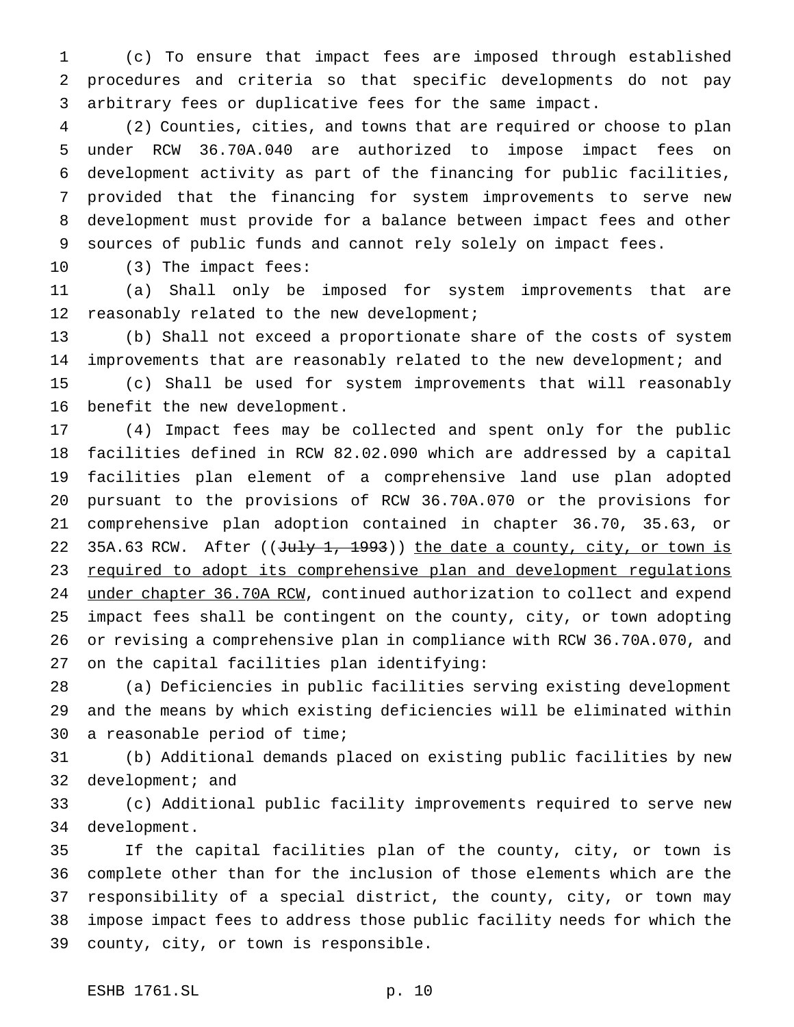(c) To ensure that impact fees are imposed through established procedures and criteria so that specific developments do not pay arbitrary fees or duplicative fees for the same impact.

 (2) Counties, cities, and towns that are required or choose to plan under RCW 36.70A.040 are authorized to impose impact fees on development activity as part of the financing for public facilities, provided that the financing for system improvements to serve new development must provide for a balance between impact fees and other sources of public funds and cannot rely solely on impact fees.

(3) The impact fees:

 (a) Shall only be imposed for system improvements that are 12 reasonably related to the new development;

 (b) Shall not exceed a proportionate share of the costs of system improvements that are reasonably related to the new development; and (c) Shall be used for system improvements that will reasonably benefit the new development.

 (4) Impact fees may be collected and spent only for the public facilities defined in RCW 82.02.090 which are addressed by a capital facilities plan element of a comprehensive land use plan adopted pursuant to the provisions of RCW 36.70A.070 or the provisions for comprehensive plan adoption contained in chapter 36.70, 35.63, or 22 35A.63 RCW. After ((July 1, 1993)) the date a county, city, or town is 23 required to adopt its comprehensive plan and development regulations 24 under chapter 36.70A RCW, continued authorization to collect and expend impact fees shall be contingent on the county, city, or town adopting or revising a comprehensive plan in compliance with RCW 36.70A.070, and on the capital facilities plan identifying:

 (a) Deficiencies in public facilities serving existing development and the means by which existing deficiencies will be eliminated within a reasonable period of time;

 (b) Additional demands placed on existing public facilities by new 32 development; and

 (c) Additional public facility improvements required to serve new development.

 If the capital facilities plan of the county, city, or town is complete other than for the inclusion of those elements which are the responsibility of a special district, the county, city, or town may impose impact fees to address those public facility needs for which the county, city, or town is responsible.